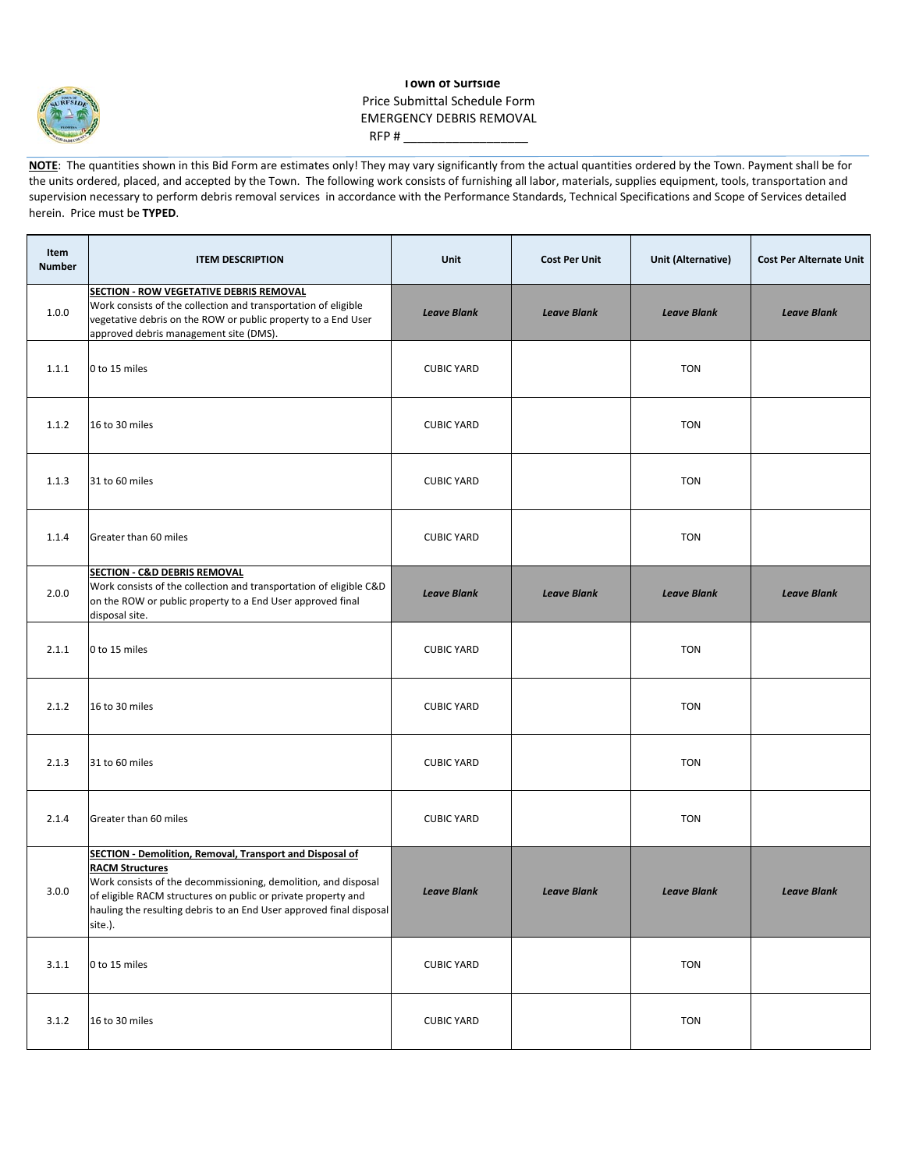

## **Town of Surfside** Price Submittal Schedule Form EMERGENCY DEBRIS REMOVAL  $RFP #$

**NOTE:** The quantities shown in this Bid Form are estimates only! They may vary significantly from the actual quantities ordered by the Town. Payment shall be for the units ordered, placed, and accepted by the Town. The following work consists of furnishing all labor, materials, supplies equipment, tools, transportation and supervision necessary to perform debris removal services in accordance with the Performance Standards, Technical Specifications and Scope of Services detailed herein. Price must be **TYPED**.

| Item<br><b>Number</b> | <b>ITEM DESCRIPTION</b>                                                                                                                                                                                                                                                                                        | Unit               | <b>Cost Per Unit</b> | <b>Unit (Alternative)</b> | <b>Cost Per Alternate Unit</b> |
|-----------------------|----------------------------------------------------------------------------------------------------------------------------------------------------------------------------------------------------------------------------------------------------------------------------------------------------------------|--------------------|----------------------|---------------------------|--------------------------------|
| 1.0.0                 | SECTION - ROW VEGETATIVE DEBRIS REMOVAL<br>Work consists of the collection and transportation of eligible<br>vegetative debris on the ROW or public property to a End User<br>approved debris management site (DMS).                                                                                           | <b>Leave Blank</b> | <b>Leave Blank</b>   | <b>Leave Blank</b>        | <b>Leave Blank</b>             |
| 1.1.1                 | 0 to 15 miles                                                                                                                                                                                                                                                                                                  | <b>CUBIC YARD</b>  |                      | <b>TON</b>                |                                |
| 1.1.2                 | 16 to 30 miles                                                                                                                                                                                                                                                                                                 | <b>CUBIC YARD</b>  |                      | <b>TON</b>                |                                |
| 1.1.3                 | 31 to 60 miles                                                                                                                                                                                                                                                                                                 | <b>CUBIC YARD</b>  |                      | <b>TON</b>                |                                |
| 1.1.4                 | Greater than 60 miles                                                                                                                                                                                                                                                                                          | <b>CUBIC YARD</b>  |                      | <b>TON</b>                |                                |
| 2.0.0                 | <b>SECTION - C&amp;D DEBRIS REMOVAL</b><br>Work consists of the collection and transportation of eligible C&D<br>on the ROW or public property to a End User approved final<br>disposal site.                                                                                                                  | <b>Leave Blank</b> | <b>Leave Blank</b>   | <b>Leave Blank</b>        | <b>Leave Blank</b>             |
| 2.1.1                 | 0 to 15 miles                                                                                                                                                                                                                                                                                                  | <b>CUBIC YARD</b>  |                      | <b>TON</b>                |                                |
| 2.1.2                 | 16 to 30 miles                                                                                                                                                                                                                                                                                                 | <b>CUBIC YARD</b>  |                      | <b>TON</b>                |                                |
| 2.1.3                 | 31 to 60 miles                                                                                                                                                                                                                                                                                                 | <b>CUBIC YARD</b>  |                      | <b>TON</b>                |                                |
| 2.1.4                 | Greater than 60 miles                                                                                                                                                                                                                                                                                          | <b>CUBIC YARD</b>  |                      | <b>TON</b>                |                                |
| 3.0.0                 | <b>SECTION - Demolition, Removal, Transport and Disposal of</b><br><b>RACM Structures</b><br>Work consists of the decommissioning, demolition, and disposal<br>of eligible RACM structures on public or private property and<br>hauling the resulting debris to an End User approved final disposal<br>site.). | <b>Leave Blank</b> | <b>Leave Blank</b>   | <b>Leave Blank</b>        | <b>Leave Blank</b>             |
| 3.1.1                 | 0 to 15 miles                                                                                                                                                                                                                                                                                                  | <b>CUBIC YARD</b>  |                      | <b>TON</b>                |                                |
| 3.1.2                 | 16 to 30 miles                                                                                                                                                                                                                                                                                                 | <b>CUBIC YARD</b>  |                      | <b>TON</b>                |                                |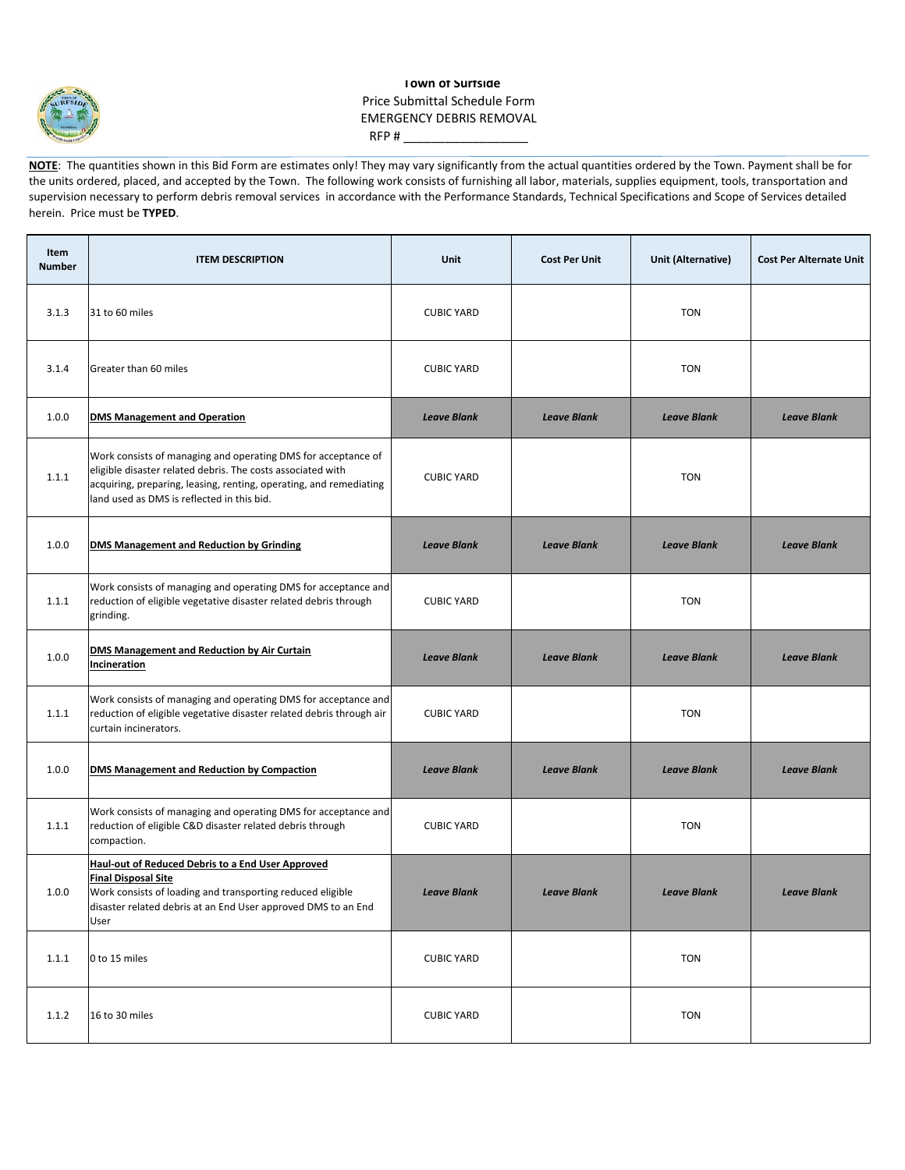

## **Town of Surfside** Price Submittal Schedule Form EMERGENCY DEBRIS REMOVAL RFP # $_$

**NOTE:** The quantities shown in this Bid Form are estimates only! They may vary significantly from the actual quantities ordered by the Town. Payment shall be for the units ordered, placed, and accepted by the Town. The following work consists of furnishing all labor, materials, supplies equipment, tools, transportation and supervision necessary to perform debris removal services in accordance with the Performance Standards, Technical Specifications and Scope of Services detailed herein. Price must be **TYPED**.

| <b>Item</b><br><b>Number</b> | <b>ITEM DESCRIPTION</b>                                                                                                                                                                                                                          | Unit               | <b>Cost Per Unit</b> | Unit (Alternative) | <b>Cost Per Alternate Unit</b> |
|------------------------------|--------------------------------------------------------------------------------------------------------------------------------------------------------------------------------------------------------------------------------------------------|--------------------|----------------------|--------------------|--------------------------------|
| 3.1.3                        | 31 to 60 miles                                                                                                                                                                                                                                   | <b>CUBIC YARD</b>  |                      | <b>TON</b>         |                                |
| 3.1.4                        | Greater than 60 miles                                                                                                                                                                                                                            | <b>CUBIC YARD</b>  |                      | <b>TON</b>         |                                |
| 1.0.0                        | <b>DMS Management and Operation</b>                                                                                                                                                                                                              | <b>Leave Blank</b> | <b>Leave Blank</b>   | <b>Leave Blank</b> | <b>Leave Blank</b>             |
| 1.1.1                        | Work consists of managing and operating DMS for acceptance of<br>eligible disaster related debris. The costs associated with<br>acquiring, preparing, leasing, renting, operating, and remediating<br>land used as DMS is reflected in this bid. | <b>CUBIC YARD</b>  |                      | <b>TON</b>         |                                |
| 1.0.0                        | <b>DMS Management and Reduction by Grinding</b>                                                                                                                                                                                                  | <b>Leave Blank</b> | <b>Leave Blank</b>   | <b>Leave Blank</b> | <b>Leave Blank</b>             |
| 1.1.1                        | Work consists of managing and operating DMS for acceptance and<br>reduction of eligible vegetative disaster related debris through<br>grinding.                                                                                                  | <b>CUBIC YARD</b>  |                      | <b>TON</b>         |                                |
| 1.0.0                        | DMS Management and Reduction by Air Curtain<br><b>Incineration</b>                                                                                                                                                                               | <b>Leave Blank</b> | <b>Leave Blank</b>   | <b>Leave Blank</b> | <b>Leave Blank</b>             |
| 1.1.1                        | Work consists of managing and operating DMS for acceptance and<br>reduction of eligible vegetative disaster related debris through air<br>curtain incinerators.                                                                                  | <b>CUBIC YARD</b>  |                      | <b>TON</b>         |                                |
| 1.0.0                        | <b>DMS Management and Reduction by Compaction</b>                                                                                                                                                                                                | <b>Leave Blank</b> | <b>Leave Blank</b>   | <b>Leave Blank</b> | <b>Leave Blank</b>             |
| 1.1.1                        | Work consists of managing and operating DMS for acceptance and<br>reduction of eligible C&D disaster related debris through<br>compaction.                                                                                                       | <b>CUBIC YARD</b>  |                      | <b>TON</b>         |                                |
| 1.0.0                        | <b>Haul-out of Reduced Debris to a End User Approved</b><br><b>Final Disposal Site</b><br>Work consists of loading and transporting reduced eligible<br>disaster related debris at an End User approved DMS to an End<br>User                    | <b>Leave Blank</b> | <b>Leave Blank</b>   | <b>Leave Blank</b> | <b>Leave Blank</b>             |
| 1.1.1                        | 0 to 15 miles                                                                                                                                                                                                                                    | <b>CUBIC YARD</b>  |                      | <b>TON</b>         |                                |
| 1.1.2                        | 16 to 30 miles                                                                                                                                                                                                                                   | <b>CUBIC YARD</b>  |                      | <b>TON</b>         |                                |